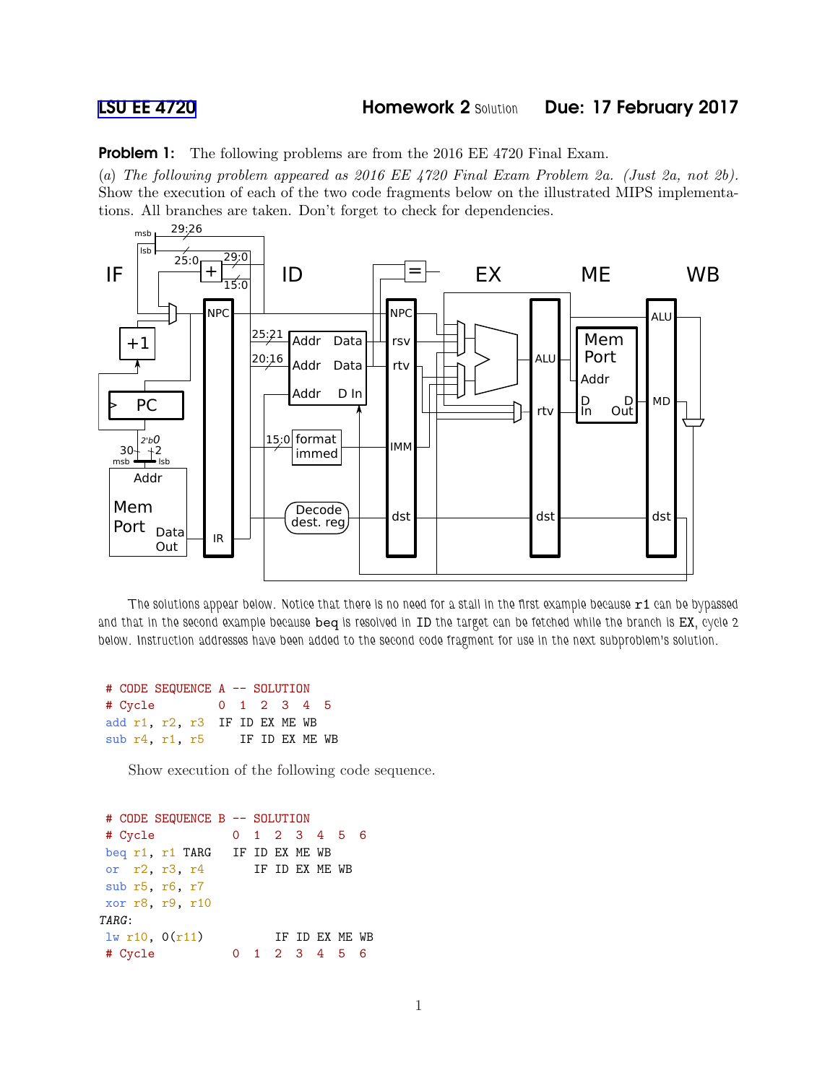**Problem 1:** The following problems are from the 2016 EE 4720 Final Exam.

(*a*) *The following problem appeared as 2016 EE 4720 Final Exam Problem 2a. (Just 2a, not 2b).* Show the execution of each of the two code fragments below on the illustrated MIPS implementations. All branches are taken. Don't forget to check for dependencies.



The solutions appear below. Notice that there is no need for a stall in the first example because r1 can be bypassed and that in the second example because beq is resolved in ID the target can be fetched while the branch is EX, cycle 2 below. Instruction addresses have been added to the second code fragment for use in the next subproblem's solution.

```
# CODE SEQUENCE A -- SOLUTION
# Cycle 0 1 2 3 4 5
add r1, r2, r3 IF ID EX ME WB
sub r4, r1, r5 IF ID EX ME WB
```
Show execution of the following code sequence.

```
# CODE SEQUENCE B -- SOLUTION
# Cycle 0 1 2 3 4 5 6
beq r1, r1 TARG IF ID EX ME WB
or r2, r3, r4 IF ID EX ME WB
sub r5, r6, r7
xor r8, r9, r10
TARG:
\frac{1}{w} r10, 0(r11) IF ID EX ME WB
# Cycle 0 1 2 3 4 5 6
```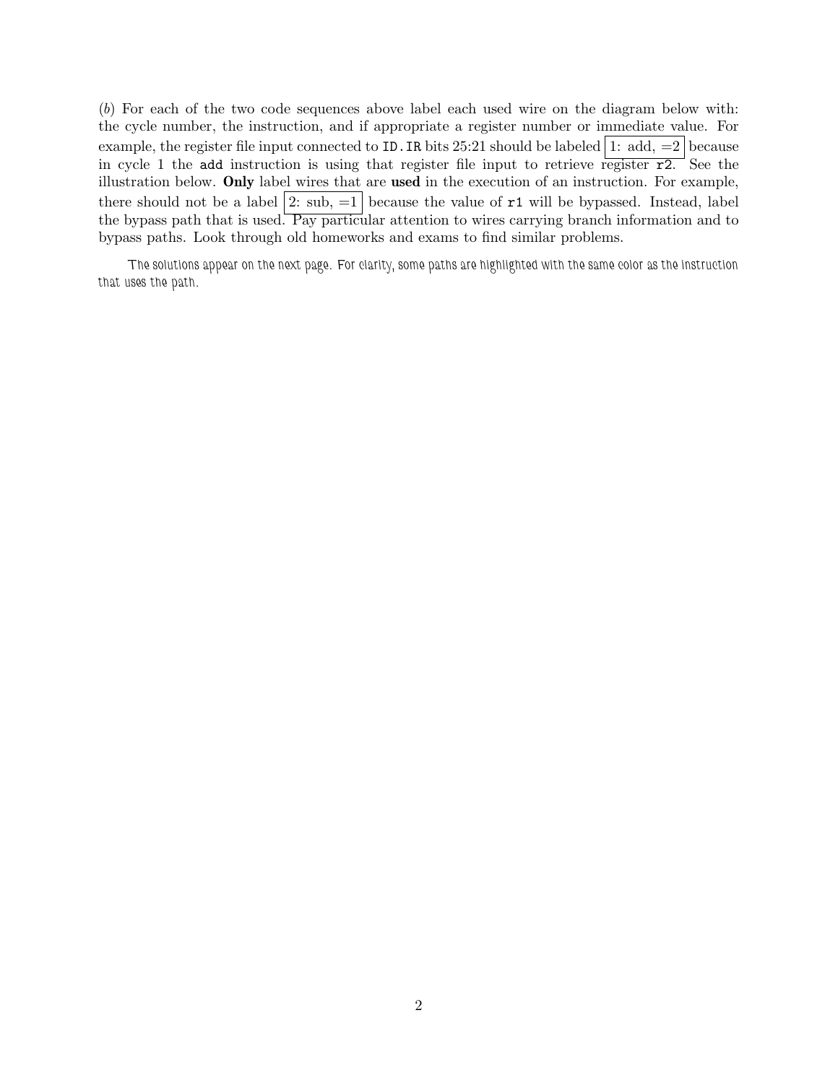(*b*) For each of the two code sequences above label each used wire on the diagram below with: the cycle number, the instruction, and if appropriate a register number or immediate value. For example, the register file input connected to ID. IR bits  $25:21$  should be labeled  $|1:$  add,  $=2$  because in cycle 1 the add instruction is using that register file input to retrieve register  $\overline{r2}$ . See the illustration below. Only label wires that are used in the execution of an instruction. For example, there should not be a label  $|2: \text{sub}, =1|$  because the value of  $r1$  will be bypassed. Instead, label the bypass path that is used. Pay particular attention to wires carrying branch information and to bypass paths. Look through old homeworks and exams to find similar problems.

The solutions appear on the next page. For clarity, some paths are highlighted with the same color as the instruction that uses the path.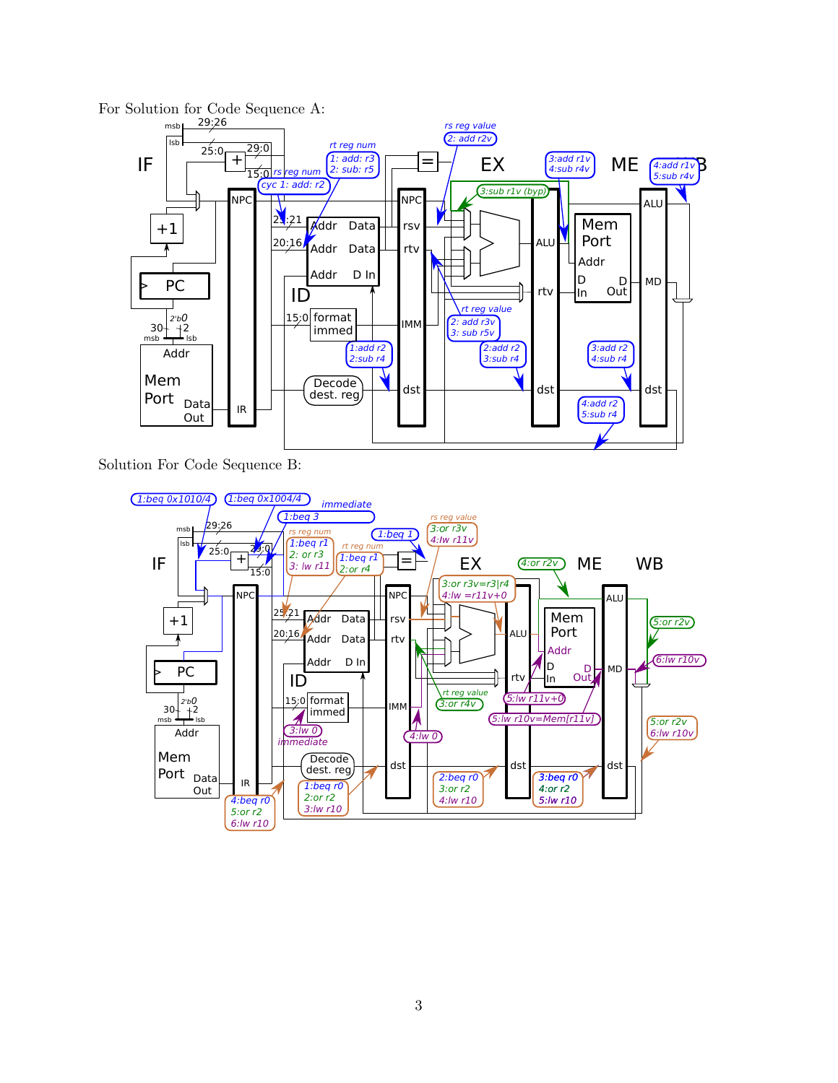

Solution For Code Sequence B: